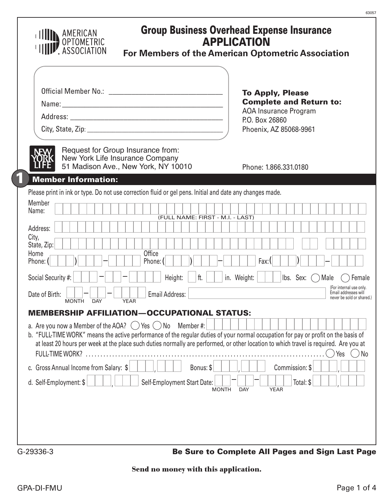|                      |                                                                                                                                                                                                            |             |                             |                                  |              |             | <b>To Apply, Please</b><br><b>Complete and Return to:</b><br>AOA Insurance Program |                                                           |                                                 |
|----------------------|------------------------------------------------------------------------------------------------------------------------------------------------------------------------------------------------------------|-------------|-----------------------------|----------------------------------|--------------|-------------|------------------------------------------------------------------------------------|-----------------------------------------------------------|-------------------------------------------------|
|                      |                                                                                                                                                                                                            |             |                             |                                  |              |             | P.O. Box 26860<br>Phoenix, AZ 85068-9961                                           |                                                           |                                                 |
|                      | Request for Group Insurance from:<br>New York Life Insurance Company<br>51 Madison Ave., New York, NY 10010                                                                                                |             |                             |                                  |              |             | Phone: 1.866.331.0180                                                              |                                                           |                                                 |
|                      | <b>Member Information:</b><br>Please print in ink or type. Do not use correction fluid or gel pens. Initial and date any changes made.                                                                     |             |                             |                                  |              |             |                                                                                    |                                                           |                                                 |
| Member               |                                                                                                                                                                                                            |             |                             |                                  |              |             |                                                                                    |                                                           |                                                 |
| Name:                |                                                                                                                                                                                                            |             |                             | (FULL NAME: FIRST - M.I. - LAST) |              |             |                                                                                    |                                                           |                                                 |
| Address:             |                                                                                                                                                                                                            |             |                             |                                  |              |             |                                                                                    |                                                           |                                                 |
| City,<br>State, Zip: |                                                                                                                                                                                                            |             |                             |                                  |              |             |                                                                                    |                                                           |                                                 |
| Home<br>Phone: (     |                                                                                                                                                                                                            |             | Office<br>Phone: (          |                                  |              |             | Fax:                                                                               |                                                           |                                                 |
| Social Security #:   |                                                                                                                                                                                                            |             | Height:                     | ft.                              |              | in. Weight: |                                                                                    | $\mathsf{lbs.}$ Sex: $\left(\begin{array}{c}\right)$ Male | Female                                          |
| Date of Birth:       |                                                                                                                                                                                                            |             | <b>Email Address:</b>       |                                  |              |             |                                                                                    |                                                           | (For internal use only.<br>Email addresses will |
|                      | <b>DAY</b><br><b>MONTH</b>                                                                                                                                                                                 | <b>YEAR</b> |                             |                                  |              |             |                                                                                    |                                                           | never be sold or shared.)                       |
|                      | <b>MEMBERSHIP AFFILIATION—OCCUPATIONAL STATUS:</b>                                                                                                                                                         |             |                             |                                  |              |             |                                                                                    |                                                           |                                                 |
|                      | a. Are you now a Member of the AOA? $($ $)$ Yes $($ $)$ No Member #:<br>b. "FULL-TIME WORK" means the active performance of the regular duties of your normal occupation for pay or profit on the basis of |             |                             |                                  |              |             |                                                                                    |                                                           |                                                 |
|                      | at least 20 hours per week at the place such duties normally are performed, or other location to which travel is required. Are you at                                                                      |             |                             |                                  |              |             |                                                                                    |                                                           |                                                 |
|                      | <b>FULL-TIME WORK?</b>                                                                                                                                                                                     |             |                             |                                  |              |             |                                                                                    |                                                           | Yes                                             |
|                      | c. Gross Annual Income from Salary: \$                                                                                                                                                                     |             |                             | Bonus: \$                        |              |             |                                                                                    | Commission: \$                                            |                                                 |
|                      | d. Self-Employment: \$                                                                                                                                                                                     |             | Self-Employment Start Date: |                                  | <b>MONTH</b> | <b>DAY</b>  | <b>YEAR</b>                                                                        | Total: \$                                                 |                                                 |

# **Send no money with this application.**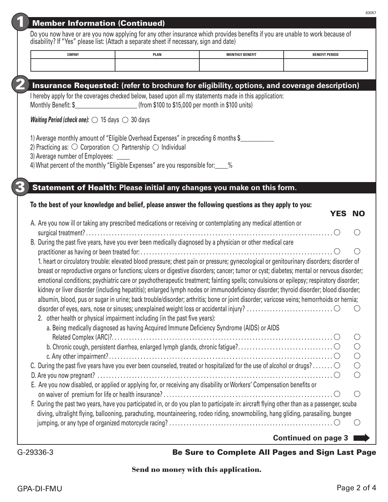| <b>Member Information (Continued)</b> |
|---------------------------------------|
|                                       |
|                                       |
|                                       |

| Do you now have or are you now applying for any other insurance which provides benefits if you are unable to work because of |  |  |
|------------------------------------------------------------------------------------------------------------------------------|--|--|
| disability? If "Yes" please list: (Attach a separate sheet if necessary, sign and date)                                      |  |  |

| COMPANY | <b>PLAN</b> | <b>CONTRACTOR BENIETIN</b><br>υп | <b>BENEFIT PERIOD</b><br>the contract of the contract of the contract of the contract of the contract of the contract of the contract of |
|---------|-------------|----------------------------------|------------------------------------------------------------------------------------------------------------------------------------------|
|         |             |                                  |                                                                                                                                          |

# 2 Insurance Requested: **(refer to brochure for eligibility, options, and coverage description)**

I hereby apply for the coverages checked below, based upon all my statements made in this application: Monthly Benefit:  $$$  (from \$100 to \$15,000 per month in \$100 units)

*Waiting Period (check one):*  $\bigcirc$  15 days  $\bigcirc$  30 days

1) Average monthly amount of "Eligible Overhead Expenses" in preceding 6 months \$

2) Practicing as:  $\bigcirc$  Corporation  $\bigcirc$  Partnership  $\bigcirc$  Individual

3) Average number of Employees:

4) What percent of the monthly "Eligible Expenses" are you responsible for:  $\frac{1}{2}$ %

## 3 Statement of Health: **Please initial any changes you make on this form.**

#### To the best of your knowledge and belief, please answer the following questions as they apply to you:

| <b>YES</b>                                                                                                                                 | <b>NO</b>                                   |
|--------------------------------------------------------------------------------------------------------------------------------------------|---------------------------------------------|
| A. Are you now ill or taking any prescribed medications or receiving or contemplating any medical attention or                             |                                             |
|                                                                                                                                            |                                             |
| B. During the past five years, have you ever been medically diagnosed by a physician or other medical care                                 |                                             |
|                                                                                                                                            |                                             |
| 1. heart or circulatory trouble: elevated blood pressure; chest pain or pressure; gynecological or genitourinary disorders; disorder of    |                                             |
| breast or reproductive organs or functions; ulcers or digestive disorders; cancer; tumor or cyst; diabetes; mental or nervous disorder;    |                                             |
| emotional conditions; psychiatric care or psychotherapeutic treatment; fainting spells; convulsions or epilepsy; respiratory disorder;     |                                             |
| kidney or liver disorder (including hepatitis); enlarged lymph nodes or immunodeficiency disorder; thyroid disorder; blood disorder;       |                                             |
|                                                                                                                                            |                                             |
| albumin, blood, pus or sugar in urine; back trouble/disorder; arthritis; bone or joint disorder; varicose veins; hemorrhoids or hernia;    |                                             |
|                                                                                                                                            |                                             |
| 2. other health or physical impairment including (in the past five years):                                                                 |                                             |
| a. Being medically diagnosed as having Acquired Immune Deficiency Syndrome (AIDS) or AIDS                                                  |                                             |
|                                                                                                                                            | $($ )                                       |
|                                                                                                                                            | $\left(\right)$                             |
|                                                                                                                                            | $\bigcirc$                                  |
| C. During the past five years have you ever been counseled, treated or hospitalized for the use of alcohol or drugs? $\circ$               | $\bigcirc$                                  |
|                                                                                                                                            | $\left(\begin{array}{c} \end{array}\right)$ |
| E. Are you now disabled, or applied or applying for, or receiving any disability or Workers' Compensation benefits or                      |                                             |
|                                                                                                                                            | ( )                                         |
| F. During the past two years, have you participated in, or do you plan to participate in: aircraft flying other than as a passenger, scuba |                                             |
| diving, ultralight flying, ballooning, parachuting, mountaineering, rodeo riding, snowmobiling, hang gliding, parasailing, bungee          |                                             |
|                                                                                                                                            |                                             |
|                                                                                                                                            |                                             |
| <b>Continued on page 3</b>                                                                                                                 |                                             |
|                                                                                                                                            |                                             |

### G-29336-3 Be Sure to Complete All Pages and Sign Last Page

#### **Send no money with this application.**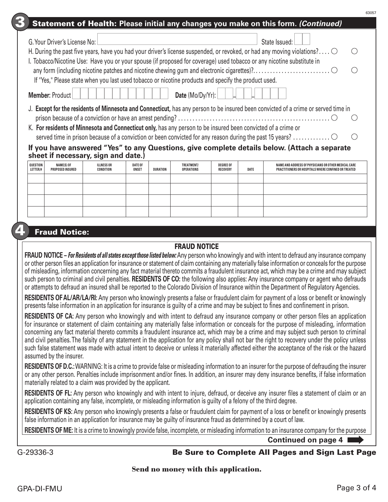|           |                                                                                                                                                                                                                                                                                                                                                                                                                                                                                                                                                                                                                                                                                                                                                         |                                                        |                                                                                                                                                      |                         |                 |                                 |                                     |      | Statement of Health: Please initial any changes you make on this form. (Continued)                                                                                                                                                                                                                                                                                                                                                                                                                                                                                                                                                                                                                                                                                                                                                                                           |  |
|-----------|---------------------------------------------------------------------------------------------------------------------------------------------------------------------------------------------------------------------------------------------------------------------------------------------------------------------------------------------------------------------------------------------------------------------------------------------------------------------------------------------------------------------------------------------------------------------------------------------------------------------------------------------------------------------------------------------------------------------------------------------------------|--------------------------------------------------------|------------------------------------------------------------------------------------------------------------------------------------------------------|-------------------------|-----------------|---------------------------------|-------------------------------------|------|------------------------------------------------------------------------------------------------------------------------------------------------------------------------------------------------------------------------------------------------------------------------------------------------------------------------------------------------------------------------------------------------------------------------------------------------------------------------------------------------------------------------------------------------------------------------------------------------------------------------------------------------------------------------------------------------------------------------------------------------------------------------------------------------------------------------------------------------------------------------------|--|
|           |                                                                                                                                                                                                                                                                                                                                                                                                                                                                                                                                                                                                                                                                                                                                                         | G. Your Driver's License No:<br><b>Member: Product</b> | If "Yes," Please state when you last used tobacco or nicotine products and specify the product used.                                                 |                         |                 | Date (Mo/Dy/Yr):                |                                     |      | State Issued:<br>H. During the past five years, have you had your driver's license suspended, or revoked, or had any moving violations? $\circlearrowright$<br>I. Tobacco/Nicotine Use: Have you or your spouse (if proposed for coverage) used tobacco or any nicotine substitute in                                                                                                                                                                                                                                                                                                                                                                                                                                                                                                                                                                                        |  |
|           |                                                                                                                                                                                                                                                                                                                                                                                                                                                                                                                                                                                                                                                                                                                                                         |                                                        | K. For residents of Minnesota and Connecticut only, has any person to be insured been convicted of a crime or<br>sheet if necessary, sign and date.) |                         |                 |                                 |                                     |      | J. Except for the residents of Minnesota and Connecticut, has any person to be insured been convicted of a crime or served time in<br>If you have answered "Yes" to any Questions, give complete details below. (Attach a separate                                                                                                                                                                                                                                                                                                                                                                                                                                                                                                                                                                                                                                           |  |
|           | QUESTION<br>LETTER/#                                                                                                                                                                                                                                                                                                                                                                                                                                                                                                                                                                                                                                                                                                                                    | NAME(S) OF<br><b>PROPOSED INSURED</b>                  | <b>ILLNESS OR</b><br><b>CONDITION</b>                                                                                                                | <b>DATE OF</b><br>ONSET | <b>DURATION</b> | TREATMENT/<br><b>OPERATIONS</b> | <b>DEGREE OF</b><br><b>RECOVERY</b> | DATE | NAME AND ADDRESS OF PHYSICIANS OR OTHER MEDICAL CARE<br>PRACTITIONERS OR HOSPITALS WHERE CONFINED OR TREATED                                                                                                                                                                                                                                                                                                                                                                                                                                                                                                                                                                                                                                                                                                                                                                 |  |
|           |                                                                                                                                                                                                                                                                                                                                                                                                                                                                                                                                                                                                                                                                                                                                                         | <b>Fraud Notice:</b>                                   |                                                                                                                                                      |                         |                 |                                 |                                     |      |                                                                                                                                                                                                                                                                                                                                                                                                                                                                                                                                                                                                                                                                                                                                                                                                                                                                              |  |
|           |                                                                                                                                                                                                                                                                                                                                                                                                                                                                                                                                                                                                                                                                                                                                                         |                                                        |                                                                                                                                                      |                         |                 | <b>FRAUD NOTICE</b>             |                                     |      |                                                                                                                                                                                                                                                                                                                                                                                                                                                                                                                                                                                                                                                                                                                                                                                                                                                                              |  |
|           |                                                                                                                                                                                                                                                                                                                                                                                                                                                                                                                                                                                                                                                                                                                                                         |                                                        |                                                                                                                                                      |                         |                 |                                 |                                     |      | FRAUD NOTICE - For Residents of all states except those listed below: Any person who knowingly and with intent to defraud any insurance company<br>or other person files an application for insurance or statement of claim containing any materially false information or conceals for the purpose<br>of misleading, information concerning any fact material thereto commits a fraudulent insurance act, which may be a crime and may subject<br>such person to criminal and civil penalties. RESIDENTS OF CO: the following also applies: Any insurance company or agent who defrauds<br>or attempts to defraud an insured shall be reported to the Colorado Division of Insurance within the Department of Regulatory Agencies.<br>RESIDENTS OF AL/AR/LA/RI: Any person who knowingly presents a false or fraudulent claim for payment of a loss or benefit or knowingly |  |
|           |                                                                                                                                                                                                                                                                                                                                                                                                                                                                                                                                                                                                                                                                                                                                                         |                                                        |                                                                                                                                                      |                         |                 |                                 |                                     |      | presents false information in an application for insurance is guilty of a crime and may be subject to fines and confinement in prison.                                                                                                                                                                                                                                                                                                                                                                                                                                                                                                                                                                                                                                                                                                                                       |  |
|           | <b>RESIDENTS OF CA:</b> Any person who knowingly and with intent to defraud any insurance company or other person files an application<br>for insurance or statement of claim containing any materially false information or conceals for the purpose of misleading, information<br>concerning any fact material thereto commits a fraudulent insurance act, which may be a crime and may subject such person to criminal<br>and civil penalties. The falsity of any statement in the application for any policy shall not bar the right to recovery under the policy unless<br>such false statement was made with actual intent to deceive or unless it materially affected either the acceptance of the risk or the hazard<br>assumed by the insurer. |                                                        |                                                                                                                                                      |                         |                 |                                 |                                     |      |                                                                                                                                                                                                                                                                                                                                                                                                                                                                                                                                                                                                                                                                                                                                                                                                                                                                              |  |
|           |                                                                                                                                                                                                                                                                                                                                                                                                                                                                                                                                                                                                                                                                                                                                                         |                                                        | materially related to a claim was provided by the applicant.                                                                                         |                         |                 |                                 |                                     |      | <b>RESIDENTS OF D.C.:</b> WARNING: It is a crime to provide false or misleading information to an insurer for the purpose of defrauding the insurer<br>or any other person. Penalties include imprisonment and/or fines. In addition, an insurer may deny insurance benefits, if false information                                                                                                                                                                                                                                                                                                                                                                                                                                                                                                                                                                           |  |
|           |                                                                                                                                                                                                                                                                                                                                                                                                                                                                                                                                                                                                                                                                                                                                                         |                                                        | application containing any false, incomplete, or misleading information is guilty of a felony of the third degree.                                   |                         |                 |                                 |                                     |      | <b>RESIDENTS OF FL:</b> Any person who knowingly and with intent to injure, defraud, or deceive any insurer files a statement of claim or an                                                                                                                                                                                                                                                                                                                                                                                                                                                                                                                                                                                                                                                                                                                                 |  |
|           |                                                                                                                                                                                                                                                                                                                                                                                                                                                                                                                                                                                                                                                                                                                                                         |                                                        | false information in an application for insurance may be guilty of insurance fraud as determined by a court of law.                                  |                         |                 |                                 |                                     |      | <b>RESIDENTS OF KS:</b> Any person who knowingly presents a false or fraudulent claim for payment of a loss or benefit or knowingly presents                                                                                                                                                                                                                                                                                                                                                                                                                                                                                                                                                                                                                                                                                                                                 |  |
|           |                                                                                                                                                                                                                                                                                                                                                                                                                                                                                                                                                                                                                                                                                                                                                         |                                                        |                                                                                                                                                      |                         |                 |                                 |                                     |      | <b>RESIDENTS OF ME:</b> It is a crime to knowingly provide false, incomplete, or misleading information to an insurance company for the purpose                                                                                                                                                                                                                                                                                                                                                                                                                                                                                                                                                                                                                                                                                                                              |  |
|           |                                                                                                                                                                                                                                                                                                                                                                                                                                                                                                                                                                                                                                                                                                                                                         |                                                        |                                                                                                                                                      |                         |                 |                                 |                                     |      | <b>Continued on page 4</b>                                                                                                                                                                                                                                                                                                                                                                                                                                                                                                                                                                                                                                                                                                                                                                                                                                                   |  |
| G-29336-3 |                                                                                                                                                                                                                                                                                                                                                                                                                                                                                                                                                                                                                                                                                                                                                         |                                                        |                                                                                                                                                      |                         |                 |                                 |                                     |      | <b>Be Sure to Complete All Pages and Sign Last Page</b>                                                                                                                                                                                                                                                                                                                                                                                                                                                                                                                                                                                                                                                                                                                                                                                                                      |  |

**Send no money with this application.**